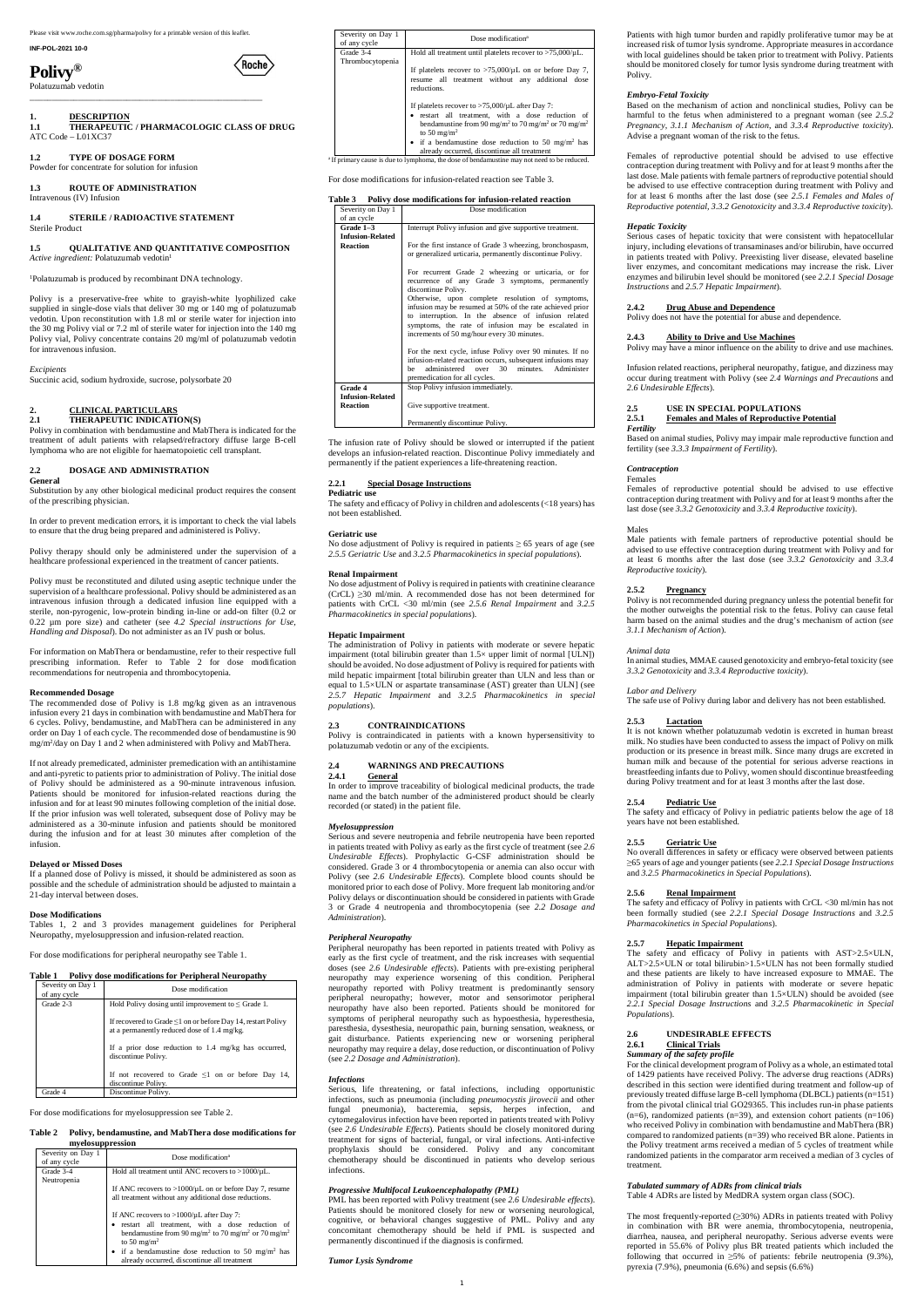Please visit www.roche.com.sg/pharma/polivy for a printable version of this leaflet.

# **INF-POL-2021 10-0**

**Polivy®**

Polatuzumab vedotin \_\_\_\_\_\_\_\_\_\_\_\_\_\_\_\_\_\_\_\_\_\_\_\_\_\_\_\_\_\_\_\_\_\_\_\_\_\_\_\_\_\_\_\_\_\_\_\_\_\_\_\_\_

# **1. DESCRIPTION**

**1.1 THERAPEUTIC / PHARMACOLOGIC CLASS OF DRUG** ATC Code – L01XC37

Roche

# **1.2 TYPE OF DOSAGE FORM**

Powder for concentrate for solution for infusion

**1.3 ROUTE OF ADMINISTRATION** Intravenous (IV) Infusion

#### **1.4 STERILE / RADIOACTIVE STATEMENT** Sterile Product

#### **1.5 QUALITATIVE AND QUANTITATIVE COMPOSITION** *Active ingredient:* Polatuzumab vedotin<sup>1</sup>

<sup>1</sup>Polatuzumab is produced by recombinant DNA technology.

Polivy is a preservative-free white to grayish-white lyophilized cake supplied in single-dose vials that deliver 30 mg or 140 mg of polatuzumab vedotin. Upon reconstitution with 1.8 ml or sterile water for injection into the 30 mg Polivy vial or 7.2 ml of sterile water for injection into the 140 mg Polivy vial, Polivy concentrate contains 20 mg/ml of polatuzumab vedotin for intravenous infusion.

#### *Excipients*

Succinic acid, sodium hydroxide, sucrose, polysorbate 20

# **2. CLINICAL PARTICULARS**

# **2.1 THERAPEUTIC INDICATION(S)**

Polivy in combination with bendamustine and MabThera is indicated for the treatment of adult patients with relapsed/refractory diffuse large B-cell lymphoma who are not eligible for haematopoietic cell transplant.

#### **2.2 DOSAGE AND ADMINISTRATION**

#### **General**

Substitution by any other biological medicinal product requires the consent of the prescribing physician.

In order to prevent medication errors, it is important to check the vial labels to ensure that the drug being prepared and administered is Polivy.

Polivy therapy should only be administered under the supervision of a healthcare professional experienced in the treatment of cancer patients.

Polivy must be reconstituted and diluted using aseptic technique under the supervision of a healthcare professional. Polivy should be administered as an intravenous infusion through a dedicated infusion line equipped with a sterile, non-pyrogenic, low-protein binding in-line or add-on filter (0.2 or 0.22 µm pore size) and catheter (see *4.2 Special instructions for Use, Handling and Disposal*). Do not administer as an IV push or bolus.

For information on MabThera or bendamustine, refer to their respective full prescribing information. Refer to Table 2 for dose modification recommendations for neutropenia and thrombocytopenia.

#### **Recommended Dosage**

The recommended dose of Polivy is 1.8 mg/kg given as an intravenous infusion every 21 days in combination with bendamustine and MabThera for 6 cycles. Polivy, bendamustine, and MabThera can be administered in any order on Day 1 of each cycle. The recommended dose of bendamustine is 90 mg/m<sup>2</sup> /day on Day 1 and 2 when administered with Polivy and MabThera.

If not already premedicated, administer premedication with an antihistamine and anti-pyretic to patients prior to administration of Polivy. The initial dose of Polivy should be administered as a 90-minute intravenous infusion. Patients should be monitored for infusion-related reactions during the infusion and for at least 90 minutes following completion of the initial dose. If the prior infusion was well tolerated, subsequent dose of Polivy may be administered as a 30-minute infusion and patients should be monitored during the infusion and for at least 30 minutes after completion of the infusion.

#### **Delayed or Missed Doses**

If a planned dose of Polivy is missed, it should be administered as soon as possible and the schedule of administration should be adjusted to maintain a 21-day interval between doses.

No dose adjustment of Polivy is required in patients  $\geq 65$  years of age (see *2.5.5 Geriatric Use* and *3.2.5 Pharmacokinetics in special populations*).

#### **Dose Modifications**

Tables 1, 2 and 3 provides management guidelines for Peripheral Neuropathy, myelosuppression and infusion-related reaction.

No dose adjustment of Polivy is required in patients with creatinine clearance (CrCL) ≥30 ml/min. A recommended dose has not been determined for patients with CrCL <30 ml/min (see *2.5.6 Renal Impairment* and *3.2.5 Pharmacokinetics in special populations*).

For dose modifications for peripheral neuropathy see Table 1.

# Table 1 Polivy dose modifications for Peripheral Neuropathy

| Severity on Day 1<br>of any cycle | Dose modification                                                                                                 |
|-----------------------------------|-------------------------------------------------------------------------------------------------------------------|
| Grade 2-3                         | Hold Polivy dosing until improvement to $\leq$ Grade 1.                                                           |
|                                   | If recovered to Grade $\leq 1$ on or before Day 14, restart Polivy<br>at a permanently reduced dose of 1.4 mg/kg. |
|                                   | If a prior dose reduction to $1.4 \, \text{mg/kg}$ has occurred,<br>discontinue Polivy.                           |
|                                   | If not recovered to Grade $\leq 1$ on or before Day 14,<br>discontinue Polivy.                                    |
| Grade 4                           | Discontinue Polivy.                                                                                               |

For dose modifications for myelosuppression see Table 2.

#### **Table 2 Polivy, bendamustine, and MabThera dose modifications for myelosuppression**

| Severity on Day 1<br>of any cycle | Dose modification <sup>a</sup>                                                                                                                                                                                          |
|-----------------------------------|-------------------------------------------------------------------------------------------------------------------------------------------------------------------------------------------------------------------------|
| Grade 3-4                         | Hold all treatment until ANC recovers to $>1000/\mu L$ .                                                                                                                                                                |
| Neutropenia                       | If ANC recovers to $>1000/\mu L$ on or before Day 7, resume<br>all treatment without any additional dose reductions.                                                                                                    |
|                                   | If ANC recovers to $>1000/\mu$ L after Day 7:<br>• restart all treatment, with a dose reduction of<br>bendamustine from 90 mg/m <sup>2</sup> to 70 mg/m <sup>2</sup> or 70 mg/m <sup>2</sup><br>to 50 mg/m <sup>2</sup> |
|                                   | • if a bendaminatine dose reduction to 50 mg/m <sup>2</sup> has<br>already occurred, discontinue all treatment                                                                                                          |

| Severity on Day 1<br>of any cycle | Dose modification <sup>a</sup>                                                                                                                                                                                                 |
|-----------------------------------|--------------------------------------------------------------------------------------------------------------------------------------------------------------------------------------------------------------------------------|
| Grade 3-4<br>Thrombocytopenia     | Hold all treatment until platelets recover to $>75,000/\mu L$ .                                                                                                                                                                |
|                                   | If platelets recover to $>75,000/\mu L$ on or before Day 7,<br>resume all treatment without any additional dose<br>reductions.                                                                                                 |
|                                   | If platelets recover to $>75,000/\mu L$ after Day 7:<br>· restart all treatment, with a dose reduction of<br>bendamustine from 90 mg/m <sup>2</sup> to 70 mg/m <sup>2</sup> or 70 mg/m <sup>2</sup><br>to 50 mg/m <sup>2</sup> |
|                                   | • if a bendaminatine dose reduction to 50 mg/m <sup>2</sup> has<br>already occurred, discontinue all treatment                                                                                                                 |
|                                   | <sup>a</sup> If primary cause is due to lymphoma, the dose of bendamustine may not need to be reduced.                                                                                                                         |

For dose modifications for infusion-related reaction see Table 3.

| Table 3 Polivy dose modifications for infusion-related reaction |                                                                                                                                                                                                                                                                                                 |  |  |  |  |
|-----------------------------------------------------------------|-------------------------------------------------------------------------------------------------------------------------------------------------------------------------------------------------------------------------------------------------------------------------------------------------|--|--|--|--|
| Severity on Day 1<br>of an cycle                                | Dose modification                                                                                                                                                                                                                                                                               |  |  |  |  |
| Grade 1-3                                                       | Interrupt Polivy infusion and give supportive treatment.                                                                                                                                                                                                                                        |  |  |  |  |
| <b>Infusion-Related</b><br><b>Reaction</b>                      | For the first instance of Grade 3 wheezing, bronchospasm,<br>or generalized urticaria, permanently discontinue Polivy.<br>For recurrent Grade 2 wheezing or urticaria, or for<br>recurrence of any Grade 3 symptoms, permanently                                                                |  |  |  |  |
|                                                                 | discontinue Polivy.<br>Otherwise, upon complete resolution of symptoms,<br>infusion may be resumed at 50% of the rate achieved prior<br>to interruption. In the absence of infusion related<br>symptoms, the rate of infusion may be escalated in<br>increments of 50 mg/hour every 30 minutes. |  |  |  |  |
|                                                                 | For the next cycle, infuse Polivy over 90 minutes. If no<br>infusion-related reaction occurs, subsequent infusions may<br>administered over 30<br>minutes. Administer<br>he<br>premedication for all cycles.                                                                                    |  |  |  |  |
| Grade 4<br><b>Infusion-Related</b><br><b>Reaction</b>           | Stop Polivy infusion immediately.<br>Give supportive treatment.                                                                                                                                                                                                                                 |  |  |  |  |
|                                                                 | Permanently discontinue Polivy.                                                                                                                                                                                                                                                                 |  |  |  |  |

The infusion rate of Polivy should be slowed or interrupted if the patient develops an infusion-related reaction. Discontinue Polivy immediately and permanently if the patient experiences a life-threatening reaction.

## **2.2.1 Special Dosage Instructions**

# **Pediatric use**

The safety and efficacy of Polivy in children and adolescents (<18 years) has not been established.

#### **Geriatric use**

#### **Renal Impairment**

## **Hepatic Impairment**

The administration of Polivy in patients with moderate or severe hepatic impairment (total bilirubin greater than 1.5× upper limit of normal [ULN]) should be avoided. No dose adjustment of Polivy is required for patients with mild hepatic impairment [total bilirubin greater than ULN and less than or equal to 1.5×ULN or aspartate transaminase (AST) greater than ULN] (see *2.5.7 Hepatic Impairment* and *3.2.5 Pharmacokinetics in special populations*).

#### **2.3 CONTRAINDICATIONS**

Polivy is contraindicated in patients with a known hypersensitivity to polatuzumab vedotin or any of the excipients.

# **2.4 WARNINGS AND PRECAUTIONS**

#### **2.4.1 General**

In order to improve traceability of biological medicinal products, the trade name and the batch number of the administered product should be clearly recorded (or stated) in the patient file.

#### *Myelosuppression*

Serious and severe neutropenia and febrile neutropenia have been reported in patients treated with Polivy as early as the first cycle of treatment (see *2.6 Undesirable Effects*). Prophylactic G-CSF administration should be considered. Grade 3 or 4 thrombocytopenia or anemia can also occur with Polivy (see *2.6 Undesirable Effects*). Complete blood counts should be monitored prior to each dose of Polivy. More frequent lab monitoring and/or Polivy delays or discontinuation should be considered in patients with Grade 3 or Grade 4 neutropenia and thrombocytopenia (see *2.2 Dosage and Administration*).

## *Peripheral Neuropathy*

Peripheral neuropathy has been reported in patients treated with Polivy as early as the first cycle of treatment, and the risk increases with sequential doses (see *2.6 Undesirable effects*). Patients with pre-existing peripheral neuropathy may experience worsening of this condition. Peripheral neuropathy reported with Polivy treatment is predominantly sensory peripheral neuropathy; however, motor and sensorimotor peripheral neuropathy have also been reported. Patients should be monitored for symptoms of peripheral neuropathy such as hypoesthesia, hyperesthesia, paresthesia, dysesthesia, neuropathic pain, burning sensation, weakness, or gait disturbance. Patients experiencing new or worsening peripheral neuropathy may require a delay, dose reduction, or discontinuation of Polivy (see *2.2 Dosage and Administration*).

#### *Infections*

Serious, life threatening, or fatal infections, including opportunistic infections, such as pneumonia (including *pneumocystis jirovecii* and other fungal pneumonia), bacteremia, sepsis, herpes infection, and cytomegalovirus infection have been reported in patients treated with Polivy (see *2.6 Undesirable Effects*). Patients should be closely monitored during treatment for signs of bacterial, fungal, or viral infections. Anti-infective prophylaxis should be considered. Polivy and any concomitant chemotherapy should be discontinued in patients who develop serious infections.

# *Progressive Multifocal Leukoencephalopathy (PML)*

PML has been reported with Polivy treatment (see *2.6 Undesirable effects*). Patients should be monitored closely for new or worsening neurological, cognitive, or behavioral changes suggestive of PML. Polivy and any concomitant chemotherapy should be held if PML is suspected and permanently discontinued if the diagnosis is confirmed.

*Tumor Lysis Syndrome*

Patients with high tumor burden and rapidly proliferative tumor may be at increased risk of tumor lysis syndrome. Appropriate measures in accordance with local guidelines should be taken prior to treatment with Polivy. Patients should be monitored closely for tumor lysis syndrome during treatment with Polivy.

# *Embryo-Fetal Toxicity*

Based on the mechanism of action and nonclinical studies, Polivy can be harmful to the fetus when administered to a pregnant woman (see *2.5.2 Pregnancy*, *3.1.1 Mechanism of Action*, and *3.3.4 Reproductive toxicity*). Advise a pregnant woman of the risk to the fetus.

Females of reproductive potential should be advised to use effective contraception during treatment with Polivy and for at least 9 months after the last dose. Male patients with female partners of reproductive potential should be advised to use effective contraception during treatment with Polivy and for at least 6 months after the last dose (see *2.5.1 Females and Males of Reproductive potential, 3.3.2 Genotoxicity* and *3.3.4 Reproductive toxicity*).

# *Hepatic Toxicity*

Serious cases of hepatic toxicity that were consistent with hepatocellular injury, including elevations of transaminases and/or bilirubin, have occurred in patients treated with Polivy. Preexisting liver disease, elevated baseline liver enzymes, and concomitant medications may increase the risk. Liver enzymes and bilirubin level should be monitored (see *2.2.1 Special Dosage Instructions* and *2.5.7 Hepatic Impairment*).

# **2.4.2 Drug Abuse and Dependence**

Polivy does not have the potential for abuse and dependence.

# **2.4.3 Ability to Drive and Use Machines**

Polivy may have a minor influence on the ability to drive and use machines.

Infusion related reactions, peripheral neuropathy, fatigue, and dizziness may occur during treatment with Polivy (see *2.4 Warnings and Precautions* and *2.6 Undesirable Effects*).

# **2.5 USE IN SPECIAL POPULATIONS**

#### **2.5.1 Females and Males of Reproductive Potential** *Fertility*

Based on animal studies, Polivy may impair male reproductive function and fertility (see *3.3.3 Impairment of Fertility*).

#### *Contraception*

#### Females

Females of reproductive potential should be advised to use effective contraception during treatment with Polivy and for at least 9 months after the last dose (see *3.3.2 Genotoxicity* and *3.3.4 Reproductive toxicity*).

#### Males

Male patients with female partners of reproductive potential should be advised to use effective contraception during treatment with Polivy and for at least 6 months after the last dose (see *3.3.2 Genotoxicity* and *3.3.4 Reproductive toxicity*).

#### **2.5.2 Pregnancy**

Polivy is not recommended during pregnancy unless the potential benefit for the mother outweighs the potential risk to the fetus. Polivy can cause fetal harm based on the animal studies and the drug's mechanism of action (*see 3.1.1 Mechanism of Action*).

#### *Animal data*

In animal studies, MMAE caused genotoxicity and embryo-fetal toxicity (see *3.3.2 Genotoxicity* and *3.3.4 Reproductive toxicity*).

#### *Labor and Delivery*

The safe use of Polivy during labor and delivery has not been established.

#### **2.5.3 Lactation**

It is not known whether polatuzumab vedotin is excreted in human breast milk. No studies have been conducted to assess the impact of Polivy on milk production or its presence in breast milk. Since many drugs are excreted in human milk and because of the potential for serious adverse reactions in breastfeeding infants due to Polivy, women should discontinue breastfeeding during Polivy treatment and for at least 3 months after the last dose.

#### **2.5.4 Pediatric Use**

The safety and efficacy of Polivy in pediatric patients below the age of 18 years have not been established.

#### **2.5.5 Geriatric Use**

No overall differences in safety or efficacy were observed between patients ≥65 years of age and younger patients (see *2.2.1 Special Dosage Instructions* and *3.2.5 Pharmacokinetics in Special Populations*).

# **2.5.6 Renal Impairment**

The safety and efficacy of Polivy in patients with CrCL <30 ml/min has not been formally studied (see *2.2.1 Special Dosage Instructions* and *3.2.5 Pharmacokinetics in Special Populations*).

#### **2.5.7 Hepatic Impairment**

The safety and efficacy of Polivy in patients with AST>2.5×ULN, ALT>2.5×ULN or total bilirubin>1.5×ULN has not been formally studied and these patients are likely to have increased exposure to MMAE. The administration of Polivy in patients with moderate or severe hepatic impairment (total bilirubin greater than 1.5×ULN) should be avoided (see *2.2.1 Special Dosage Instructions* and *3.2.5 Pharmacokinetic in Special Populations*).

#### **2.6 UNDESIRABLE EFFECTS**

#### **2.6.1 Clinical Trials**

# *Summary of the safety profile*

For the clinical development program of Polivy as a whole, an estimated total of 1429 patients have received Polivy. The adverse drug reactions (ADRs) described in this section were identified during treatment and follow-up of previously treated diffuse large B-cell lymphoma (DLBCL) patients (n=151) from the pivotal clinical trial GO29365. This includes run-in phase patients (n=6), randomized patients (n=39), and extension cohort patients (n=106) who received Polivy in combination with bendamustine and MabThera (BR) compared to randomized patients (n=39) who received BR alone. Patients in the Polivy treatment arms received a median of 5 cycles of treatment while randomized patients in the comparator arm received a median of 3 cycles of treatment.

#### *Tabulated summary of ADRs from clinical trials*

Table 4 ADRs are listed by MedDRA system organ class (SOC).

The most frequently-reported (≥30%) ADRs in patients treated with Polivy in combination with BR were anemia, thrombocytopenia, neutropenia, diarrhea, nausea, and peripheral neuropathy. Serious adverse events were reported in 55.6% of Polivy plus BR treated patients which included the following that occurred in  $\geq 5\%$  of patients: febrile neutropenia (9.3%), pyrexia (7.9%), pneumonia (6.6%) and sepsis (6.6%)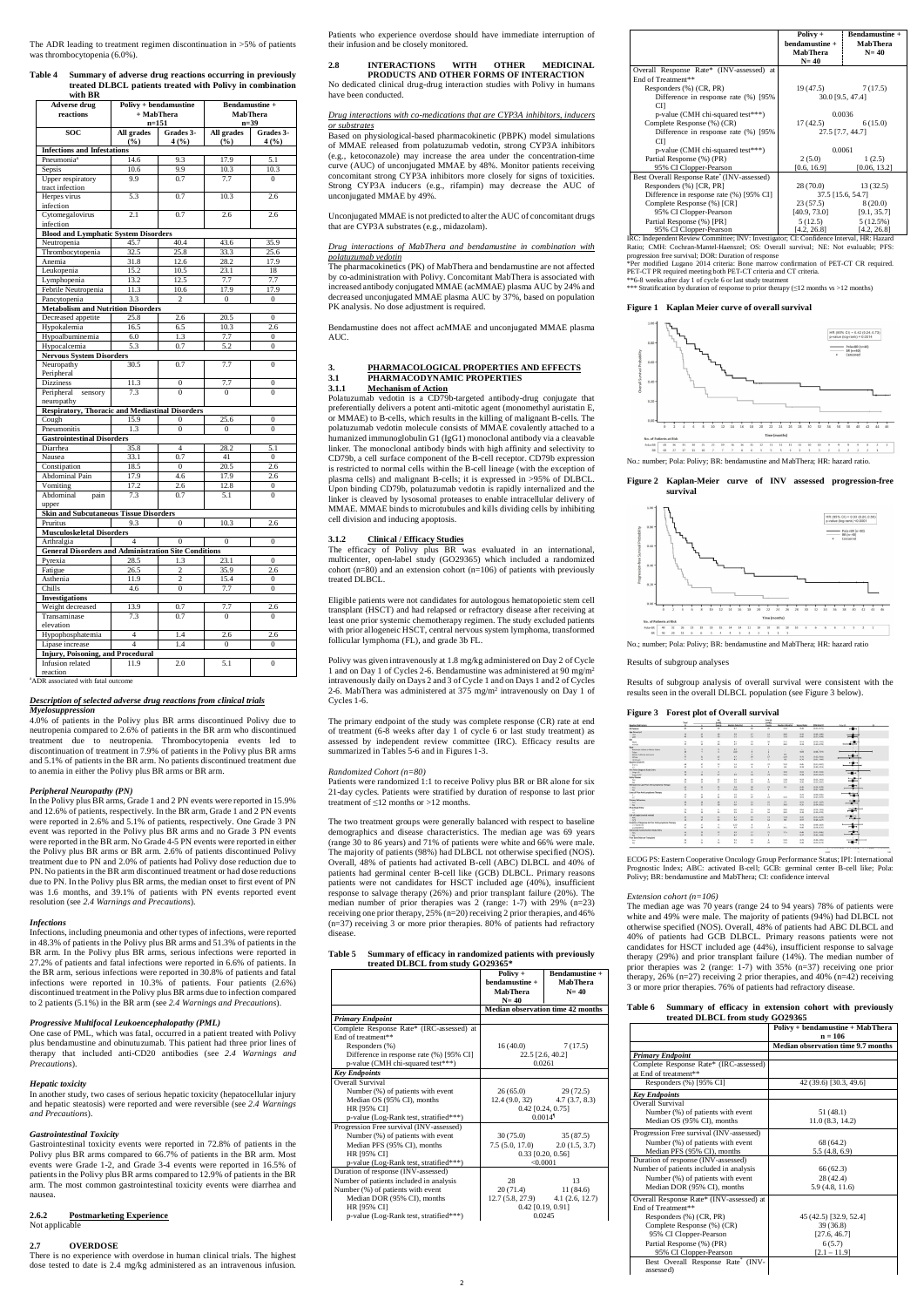The ADR leading to treatment regimen discontinuation in >5% of patients was thrombocytopenia (6.0%).

#### **Table 4 Summary of adverse drug reactions occurring in previously treated DLBCL patients treated with Polivy in combination with BR**

| <b>Adverse drug</b><br>reactions                            | + MabThera<br>$n = 151$ | Polivy + bendamustine | <b>Bendamustine +</b><br><b>MabThera</b><br>$n=39$ |                  |  |  |  |
|-------------------------------------------------------------|-------------------------|-----------------------|----------------------------------------------------|------------------|--|--|--|
| <b>SOC</b>                                                  | All grades              | Grades 3-             | All grades                                         | Grades 3-        |  |  |  |
|                                                             | (%)                     | 4(%)                  | (%)                                                | 4(%)             |  |  |  |
| <b>Infections and Infestations</b>                          |                         |                       |                                                    |                  |  |  |  |
| Pneumonia <sup>a</sup>                                      | 14.6                    | 9.3                   | 17.9                                               | 5.1              |  |  |  |
| Sepsis                                                      | 10.6                    | 9.9                   | 10.3                                               | 10.3             |  |  |  |
| <b>Upper respiratory</b>                                    | 9.9                     | 0.7                   | 7.7                                                | $\overline{0}$   |  |  |  |
| tract infection                                             |                         |                       |                                                    |                  |  |  |  |
| Herpes virus                                                | 5.3                     | 0.7                   | 10.3                                               | 2.6              |  |  |  |
| infection                                                   |                         |                       |                                                    |                  |  |  |  |
| Cytomegalovirus                                             | 2.1                     | 0.7                   | 2.6                                                | 2.6              |  |  |  |
| infection                                                   |                         |                       |                                                    |                  |  |  |  |
| <b>Blood and Lymphatic System Disorders</b>                 |                         |                       |                                                    |                  |  |  |  |
| Neutropenia                                                 | 45.7                    | 40.4                  | 43.6                                               | 35.9             |  |  |  |
| Thrombocytopenia                                            | 32.5                    | 25.8                  | 33.3                                               | 25.6             |  |  |  |
| Anemia                                                      | 31.8                    | 12.6                  | 28.2                                               | 17.9             |  |  |  |
| Leukopenia                                                  | 15.2                    | 10.5                  | 23.1                                               | 18               |  |  |  |
| Lymphopenia                                                 | 13.2                    | 12.5                  | 7.7                                                | 7.7              |  |  |  |
| Febrile Neutropenia                                         | 11.3                    | 10.6                  | 17.9                                               | 17.9             |  |  |  |
| Pancytopenia                                                | $3.\overline{3}$        | $\overline{c}$        | $\boldsymbol{0}$                                   | $\boldsymbol{0}$ |  |  |  |
| <b>Metabolism and Nutrition Disorders</b>                   |                         |                       |                                                    |                  |  |  |  |
| Decreased appetite                                          | 25.8                    | 2.6                   | 20.5                                               | $\boldsymbol{0}$ |  |  |  |
| Hypokalemia                                                 | 16.5                    | 6.5                   | 10.3                                               | 2.6              |  |  |  |
| Hypoalbuminemia                                             | 6.0                     | 1.3                   | 7.7                                                | $\boldsymbol{0}$ |  |  |  |
| Hypocalcemia                                                | 5.3                     | 0.7                   | 5.2                                                | $\mathbf{0}$     |  |  |  |
| <b>Nervous System Disorders</b>                             |                         |                       |                                                    |                  |  |  |  |
| Neuropathy                                                  | 30.5                    | 0.7                   | 7.7                                                | 0                |  |  |  |
| Peripheral                                                  |                         |                       |                                                    |                  |  |  |  |
| <b>Dizziness</b>                                            | 11.3                    | 0                     | 7.7                                                | 0                |  |  |  |
| Peripheral<br>sensory                                       | 7.3                     | $\Omega$              | $\theta$                                           | $\Omega$         |  |  |  |
| neuropathy                                                  |                         |                       |                                                    |                  |  |  |  |
| <b>Respiratory, Thoracic and Mediastinal Disorders</b>      |                         |                       |                                                    |                  |  |  |  |
| Cough                                                       | 15.9                    | 0                     | 25.6                                               | $\boldsymbol{0}$ |  |  |  |
| Pneumonitis                                                 | 1.3                     | $\overline{0}$        | $\mathbf{0}$                                       | $\boldsymbol{0}$ |  |  |  |
| <b>Gastrointestinal Disorders</b>                           |                         |                       |                                                    |                  |  |  |  |
| Diarrhea                                                    | 35.8                    | $\overline{4}$        | 28.2                                               | 5.1              |  |  |  |
| Nausea                                                      | 33.1                    | 0.7                   | 41                                                 | $\boldsymbol{0}$ |  |  |  |
| Constipation                                                | 18.5                    | $\boldsymbol{0}$      | 20.5                                               | 2.6              |  |  |  |
| <b>Abdominal Pain</b>                                       | 17.9                    | 4.6                   | 17.9                                               | 2.6              |  |  |  |
| Vomiting                                                    | 17.2                    | 2.6                   | 12.8                                               | $\boldsymbol{0}$ |  |  |  |
| Abdominal<br>pain                                           | 7.3                     | 0.7                   | 5.1                                                | $\overline{0}$   |  |  |  |
| upper                                                       |                         |                       |                                                    |                  |  |  |  |
| <b>Skin and Subcutaneous Tissue Disorders</b>               |                         |                       |                                                    |                  |  |  |  |
| Pruritus                                                    | 9.3                     | 0                     | 10.3                                               | 2.6              |  |  |  |
| <b>Musculoskeletal Disorders</b>                            |                         |                       |                                                    |                  |  |  |  |
| Arthralgia                                                  | $\overline{4}$          | 0                     | $\boldsymbol{0}$                                   | $\boldsymbol{0}$ |  |  |  |
| <b>General Disorders and Administration Site Conditions</b> |                         |                       |                                                    |                  |  |  |  |
| Pyrexia                                                     | 28.5                    | 1.3                   | 23.1                                               | $\boldsymbol{0}$ |  |  |  |
| Fatigue                                                     | 26.5                    | $\mathbf{2}$          | 35.9                                               | 2.6              |  |  |  |
| Asthenia                                                    | 11.9                    | $\overline{c}$        | 15.4                                               | 0                |  |  |  |
| Chills                                                      | 4.6                     | $\boldsymbol{0}$      | 7.7                                                | 0                |  |  |  |
| <b>Investigations</b>                                       |                         |                       |                                                    |                  |  |  |  |
| Weight decreased                                            | 13.9                    | 0.7                   | 7.7                                                | 2.6              |  |  |  |
| Transaminase                                                | 7.3                     | 0.7                   | 0                                                  | $\mathbf{0}$     |  |  |  |
| elevation                                                   |                         |                       |                                                    |                  |  |  |  |
| Hypophosphatemia                                            | $\overline{4}$          | 1.4                   | 2.6                                                | 2.6              |  |  |  |
| Lipase increase                                             | 4                       | 1.4                   | 0                                                  | 0                |  |  |  |
| <b>Injury, Poisoning, and Procedural</b>                    |                         |                       |                                                    |                  |  |  |  |
| Infusion related                                            | 11.9                    | 2.0                   | 5.1                                                | $\overline{0}$   |  |  |  |
| reaction                                                    |                         |                       |                                                    |                  |  |  |  |

<sup>a</sup>ADR associated with fatal outcome

#### *Description of selected adverse drug reactions from clinical trials Myelosuppression*

4.0% of patients in the Polivy plus BR arms discontinued Polivy due to neutropenia compared to 2.6% of patients in the BR arm who discontinued treatment due to neutropenia. Thrombocytopenia events led to discontinuation of treatment in 7.9% of patients in the Polivy plus BR arms and 5.1% of patients in the BR arm. No patients discontinued treatment due to anemia in either the Polivy plus BR arms or BR arm.

#### *Peripheral Neuropathy (PN)*

In the Polivy plus BR arms, Grade 1 and 2 PN events were reported in 15.9% and 12.6% of patients, respectively. In the BR arm, Grade 1 and 2 PN events were reported in 2.6% and 5.1% of patients, respectively. One Grade 3 PN event was reported in the Polivy plus BR arms and no Grade 3 PN events were reported in the BR arm. No Grade 4-5 PN events were reported in either the Polivy plus BR arms or BR arm. 2.6% of patients discontinued Polivy treatment due to PN and 2.0% of patients had Polivy dose reduction due to PN. No patients in the BR arm discontinued treatment or had dose reductions due to PN. In the Polivy plus BR arms, the median onset to first event of PN was 1.6 months, and 39.1% of patients with PN events reported event resolution (see *2.4 Warnings and Precautions*).

#### *Infections*

Infections, including pneumonia and other types of infections, were reported in 48.3% of patients in the Polivy plus BR arms and 51.3% of patients in the BR arm. In the Polivy plus BR arms, serious infections were reported in 27.2% of patients and fatal infections were reported in 6.6% of patients. In the BR arm, serious infections were reported in 30.8% of patients and fatal infections were reported in 10.3% of patients. Four patients (2.6%) discontinued treatment in the Polivy plus BR arms due to infection compared to 2 patients (5.1%) in the BR arm (see *2.4 Warnings and Precautions*).

Polatuzumab vedotin is a CD79b-targeted antibody-drug conjugate that preferentially delivers a potent anti-mitotic agent (monomethyl auristatin E, or MMAE) to B-cells, which results in the killing of malignant B-cells. The polatuzumab vedotin molecule consists of MMAE covalently attached to a humanized immunoglobulin G1 (IgG1) monoclonal antibody via a cleavable linker. The monoclonal antibody binds with high affinity and selectivity to CD79b, a cell surface component of the B-cell receptor. CD79b expression is restricted to normal cells within the B-cell lineage (with the exception of plasma cells) and malignant B-cells; it is expressed in >95% of DLBCL. Upon binding CD79b, polatuzumab vedotin is rapidly internalized and the linker is cleaved by lysosomal proteases to enable intracellular delivery of MMAE. MMAE binds to microtubules and kills dividing cells by inhibiting cell division and inducing apoptosis.

#### *Progressive Multifocal Leukoencephalopathy (PML)*

One case of PML, which was fatal, occurred in a patient treated with Polivy plus bendamustine and obinutuzumab. This patient had three prior lines of therapy that included anti-CD20 antibodies (see *2.4 Warnings and Precautions*).

#### *Hepatic toxicity*

In another study, two cases of serious hepatic toxicity (hepatocellular injury and hepatic steatosis) were reported and were reversible (see *2.4 Warnings and Precautions*).

Patients were randomized 1:1 to receive Polivy plus BR or BR alone for six 21-day cycles. Patients were stratified by duration of response to last prior treatment of  $\leq$ 12 months or >12 months.

#### *Gastrointestinal Toxicity*

Gastrointestinal toxicity events were reported in 72.8% of patients in the Polivy plus BR arms compared to 66.7% of patients in the BR arm. Most events were Grade 1-2, and Grade 3-4 events were reported in 16.5% of patients in the Polivy plus BR arms compared to 12.9% of patients in the BR arm. The most common gastrointestinal toxicity events were diarrhea and nausea.

# **2.6.2 Postmarketing Experience**

Not applicable

#### **Table 5 Summary of efficacy in randomized patients with previously treated DLBCL from study GO2936**

#### **2.7 OVERDOSE**

There is no experience with overdose in human clinical trials. The highest dose tested to date is 2.4 mg/kg administered as an intravenous infusion. Patients who experience overdose should have immediate interruption of their infusion and be closely monitored.

#### **2.8 INTERACTIONS WITH OTHER MEDICINAL PRODUCTS AND OTHER FORMS OF INTERACTION** No dedicated clinical drug-drug interaction studies with Polivy in humans have been conducted.

#### *Drug interactions with co-medications that are CYP3A inhibitors, inducers or substrates*

Based on physiological-based pharmacokinetic (PBPK) model simulations of MMAE released from polatuzumab vedotin, strong CYP3A inhibitors (e.g., ketoconazole) may increase the area under the concentration-time curve (AUC) of unconjugated MMAE by 48%. Monitor patients receiving concomitant strong CYP3A inhibitors more closely for signs of toxicities. Strong CYP3A inducers (e.g., rifampin) may decrease the AUC of unconjugated MMAE by 49%.

Unconjugated MMAE is not predicted to alter the AUC of concomitant drugs that are CYP3A substrates (e.g., midazolam).

#### *Drug interactions of MabThera and bendamustine in combination with polatuzumab vedotin*

Per modified Lugano 2014 criteria: Bone marrow confirmation of PET-CT CR required. PET-CT PR required meeting both PET-CT criteria and CT criteria. \*\*6-8 weeks after day 1 of cycle 6 or last study treatment

\*\*\* Stratification by duration of response to prior therapy (≤12 months vs >12 months)

The pharmacokinetics (PK) of MabThera and bendamustine are not affected by co-administration with Polivy. Concomitant MabThera is associated with increased antibody conjugated MMAE (acMMAE) plasma AUC by 24% and decreased unconjugated MMAE plasma AUC by 37%, based on population PK analysis. No dose adjustment is required.

Bendamustine does not affect acMMAE and unconjugated MMAE plasma AUC.

#### **3. PHARMACOLOGICAL PROPERTIES AND EFFECTS 3.1 PHARMACODYNAMIC PROPERTIES 3.1.1 Mechanism of Action**

## **3.1.2 Clinical / Efficacy Studies**

The efficacy of Polivy plus BR was evaluated in an international, multicenter, open-label study (GO29365) which included a randomized cohort  $(n=80)$  and an extension cohort  $(n=106)$  of patients with previously treated DLBCL.

Eligible patients were not candidates for autologous hematopoietic stem cell transplant (HSCT) and had relapsed or refractory disease after receiving at least one prior systemic chemotherapy regimen. The study excluded patients with prior allogeneic HSCT, central nervous system lymphoma, transformed follicular lymphoma (FL), and grade 3b FL.

Polivy was given intravenously at 1.8 mg/kg administered on Day 2 of Cycle 1 and on Day 1 of Cycles 2-6. Bendamustine was administered at 90 mg/m<sup>2</sup> intravenously daily on Days 2 and 3 of Cycle 1 and on Days 1 and 2 of Cycles 2-6. MabThera was administered at 375 mg/m<sup>2</sup> intravenously on Day 1 of Cycles 1-6.

The primary endpoint of the study was complete response (CR) rate at end of treatment (6-8 weeks after day 1 of cycle 6 or last study treatment) as assessed by independent review committee (IRC). Efficacy results are summarized in Tables 5-6 and in Figures 1-3.

#### *Randomized Cohort (n=80)*

The two treatment groups were generally balanced with respect to baseline demographics and disease characteristics. The median age was 69 years (range 30 to 86 years) and 71% of patients were white and 66% were male. The majority of patients (98%) had DLBCL not otherwise specified (NOS). Overall, 48% of patients had activated B-cell (ABC) DLBCL and 40% of patients had germinal center B-cell like (GCB) DLBCL. Primary reasons patients were not candidates for HSCT included age (40%), insufficient response to salvage therapy (26%) and prior transplant failure (20%). The median number of prior therapies was 2 (range: 1-7) with 29% (n=23) receiving one prior therapy, 25% (n=20) receiving 2 prior therapies, and 46% (n=37) receiving 3 or more prior therapies. 80% of patients had refractory disease.

| , 110111 Stuuy GO29905+ |                  |                       |  |  |  |  |
|-------------------------|------------------|-----------------------|--|--|--|--|
|                         | Polivy +         | <b>Bendamustine +</b> |  |  |  |  |
|                         | $bendamustine +$ | MabThera              |  |  |  |  |

|                                           | <b>MabThera</b><br>$N = 40$ | $N=40$                                   |  |
|-------------------------------------------|-----------------------------|------------------------------------------|--|
|                                           |                             | <b>Median observation time 42 months</b> |  |
| <b>Primary Endpoint</b>                   |                             |                                          |  |
| Complete Response Rate* (IRC-assessed) at |                             |                                          |  |
| End of treatment**                        |                             |                                          |  |
| Responders (%)                            | 16(40.0)                    | 7(17.5)                                  |  |
| Difference in response rate (%) [95% CI]  |                             | 22.5 [2.6, 40.2]                         |  |
| p-value (CMH chi-squared test***)         |                             | 0.0261                                   |  |
| <b>Key Endpoints</b>                      |                             |                                          |  |
| <b>Overall Survival</b>                   |                             |                                          |  |
| Number (%) of patients with event         | 26(65.0)                    | 29(72.5)                                 |  |
| Median OS (95% CI), months                | 12.4 (9.0, 32)              | 4.7(3.7, 8.3)                            |  |
| HR [95% CI]                               | $0.42$ [0.24, 0.75]         |                                          |  |
| p-value (Log-Rank test, stratified***)    |                             | $0.0014$ <sup>1</sup>                    |  |
| Progression Free survival (INV-assessed)  |                             |                                          |  |
| Number (%) of patients with event         | 30(75.0)                    | 35(87.5)                                 |  |
| Median PFS (95% CI), months               | 7.5(5.0, 17.0)              | 2.0(1.5, 3.7)                            |  |
| HR [95% CI]                               |                             | $0.33$ [0.20, 0.56]                      |  |
| p-value (Log-Rank test, stratified***)    |                             | < 0.0001                                 |  |
| Duration of response (INV-assessed)       |                             |                                          |  |
| Number of patients included in analysis   | 28                          | 13                                       |  |
| Number (%) of patients with event         | 20(71.4)                    | 11(84.6)                                 |  |
| Median DOR (95% CI), months               | 12.7(5.8, 27.9)             | 4.1(2.6, 12.7)                           |  |
| HR [95% CI]                               |                             | $0.42$ [0.19, 0.91]                      |  |
| p-value (Log-Rank test, stratified***)    |                             | 0.0245                                   |  |

3 or more prior therapies. 76% of patients had refractory dis

|                                            | $Polivv +$          | <b>Bendamustine +</b> |  |
|--------------------------------------------|---------------------|-----------------------|--|
|                                            | bendamustine +      | <b>MabThera</b>       |  |
|                                            | <b>MabThera</b>     | $N=40$                |  |
|                                            | $N=40$              |                       |  |
| Overall Response Rate* (INV-assessed) at   |                     |                       |  |
| End of Treatment**                         |                     |                       |  |
| Responders (%) (CR, PR)                    | 19(47.5)            | 7(17.5)               |  |
| Difference in response rate $(\%)$ [95%]   | 30.0 [9.5, 47.4]    |                       |  |
| CП                                         |                     |                       |  |
| p-value (CMH chi-squared test***)          | 0.0036              |                       |  |
| Complete Response (%) (CR)                 | 17(42.5)<br>6(15.0) |                       |  |
| Difference in response rate $(\%)$ [95%]   | 27.5 [7.7, 44.7]    |                       |  |
| CП                                         |                     |                       |  |
| p-value (CMH chi-squared test***)          | 0.0061              |                       |  |
| Partial Response (%) (PR)                  | 2(5.0)              | 1(2.5)                |  |
| 95% CI Clopper-Pearson                     | [0.6, 16.9]         | [0.06, 13.2]          |  |
| Best Overall Response Rate* (INV-assessed) |                     |                       |  |
| Responders (%) [CR, PR]                    | 28 (70.0)           | 13(32.5)              |  |
| Difference in response rate (%) [95% CI]   | 37.5 [15.6, 54.7]   |                       |  |
| Complete Response (%) [CR]                 | 23(57.5)            | 8(20.0)               |  |
| 95% CI Clopper-Pearson                     | [40.9, 73.0]        | [9.1, 35.7]           |  |
| Partial Response (%) [PR]                  | 5(12.5)             | 5(12.5%)              |  |
| 95% CI Clopper-Pearson                     | [4.2, 26.8]         | [4.2, 26.8]           |  |

IRC: Independent Review Committee; INV: Investigator; CI: Confidence Interval, HR: Hazard Ratio; CMH: Cochran-Mantel-Haenszel; OS: Overall survival; NE: Not evaluable; PFS: progression free survival; DOR: Duration of response

#### **Figure 1 Kaplan Meier curve of overall survival**



No.: number; Pola: Polivy; BR: bendamustine and MabThera; HR: hazard ratio.

#### **Figure 2 Kaplan-Meier curve of INV assessed progression-free survival**



No.; number; Pola: Polivy; BR: bendamustine and MabThera; HR: hazard ratio

Results of subgroup analyses

Results of subgroup analysis of overall survival were consistent with the results seen in the overall DLBCL population (see Figure 3 below).

#### **Figure 3 Forest plot of Overall survival**

|                                                    | Total                       |                          | 0.45                        |                        |                         | 01403                   |                 |                     |                    |                          |  |
|----------------------------------------------------|-----------------------------|--------------------------|-----------------------------|------------------------|-------------------------|-------------------------|-----------------|---------------------|--------------------|--------------------------|--|
| <b>Learline Rick Factors</b>                       | $\overline{\phantom{a}}$    | $\overline{a}$           | <b>Eyens</b>                | <b>Median (Months)</b> |                         | <b>Events</b>           | Median (Months) | <b>Hazand Ratio</b> | 95% Wald Ct        | Pula-bh                  |  |
| <b>Il Patients</b>                                 | 30                          | 43                       | 29                          | 47                     | 40                      | $^{36}$                 | 12.4            | 645                 | (9.25, 0.25)       | ⊶                        |  |
| an Group het                                       |                             |                          |                             |                        |                         |                         |                 |                     |                    |                          |  |
| $-055$                                             | $\bf{21}$                   | $\dot{M}$                | 10 <sub>10</sub>            | 2.8                    | 17                      | 11                      | 10.5            | 0.51                | 10.18.1.069        |                          |  |
| 56                                                 | $\overline{a}$              | $\overline{16}$          | 19                          | 2.1                    | $^{73}$                 | $_{\rm rs}$             | 9.8             | 0.42                | 03.23. 0.840       | ᆂ                        |  |
| ×                                                  |                             |                          |                             |                        |                         |                         |                 |                     |                    |                          |  |
| Male                                               | M.                          | $\mathbf{z}_k$           | 15                          | 4.5                    | 78.                     | $\mathbf{a}$            | 12.0            | m/A                 | 88.28.1.825        |                          |  |
| <b>Homake</b>                                      | $\overline{17}$             | 15                       | 10                          | 47                     | 12                      | ×                       | 28.0            | 6.28                | (0.10, 0.78)       | --                       |  |
| lete:                                              |                             |                          |                             |                        |                         |                         |                 |                     |                    |                          |  |
| Amerycan Indian or Alaska Nature                   |                             | $\overline{1}$           | ×                           | 3.6                    |                         | $\sim$                  | ×.              | car.                | <b>START</b>       |                          |  |
| Agen:                                              | to                          | ×                        | ×                           | 32.0                   |                         | ٠                       | ×.              | 0.86                | 10:06.7.541        |                          |  |
| <b>Work or African American</b>                    |                             |                          |                             |                        |                         |                         | 44              |                     |                    |                          |  |
| White:                                             | 57                          | 34                       | 22                          | 47                     | 16                      | $\overline{17}$         | 12.8            | 0.13                | 10.22.0.813        | ⊶                        |  |
|                                                    |                             | $\ddot{\phantom{1}}$     | $\overline{4}$              | 41                     | ×                       | A.                      | 30              | 8.76                | <b>BLOS. 1.490</b> |                          |  |
| DEASAN                                             |                             |                          |                             |                        |                         |                         |                 |                     |                    |                          |  |
| lateline ECOG PS<br>$0 \leq 1$                     | $\overline{M}$              | $\mathbf{M}$             | $\overline{\boldsymbol{v}}$ | 5.8                    | $\overline{\mathbf{x}}$ | $\boldsymbol{\Sigma}$   | 13.3            | o.ks                | 83.25.0.825        | $-$                      |  |
|                                                    | $\mathbf{H}$                | $\lambda$                | $\overline{ }$              | 1.6                    | ٠                       | $\overline{a}$          | 2.6             | 0.39                |                    |                          |  |
| $^{22}$                                            |                             |                          |                             |                        |                         |                         |                 |                     | (0.10, 1.51)       |                          |  |
| inn Arbor Stage at Study Entry                     |                             |                          |                             |                        |                         | ×                       | 32.0            |                     | (0.15, 5.59)       |                          |  |
| Stage Littl                                        | 10 <sub>o</sub><br>$^{30}$  | ×                        | $\mathbf{z}$                | ×<br>3.9               | ×                       |                         |                 | 0.52                |                    | $\overline{\phantom{a}}$ |  |
| Steele BVW                                         |                             | 36                       | $\overline{z}$              |                        | 34                      | $\overline{\mathbf{a}}$ | 11.5            | 0.35                | 89.21. 0.672       |                          |  |
| <b>May Disease</b>                                 |                             |                          |                             |                        |                         |                         |                 |                     |                    | $-1$                     |  |
| Yes                                                | $\mathcal{M}_{\mathcal{A}}$ | 14                       | $\Omega$                    | 3.6                    | 10                      | $\mathbf{r}$            | 11.8            | 4.56                | 89.23, 1.411       | ≕                        |  |
| No.                                                | 56                          | $\overline{\mathcal{M}}$ | $\overline{u}$              | 5.9                    | 10 <sub>1</sub>         | $^{18}$                 | 13.9            | 6.43                | 19.22, 0.850       |                          |  |
| efractory to Last Prior Anti-Lymphoma Therapy      |                             |                          |                             |                        |                         |                         |                 |                     |                    | $-$                      |  |
| Yes.                                               | 68                          | $\mathbf{u}$             | $\mathbf{z}$                | 3.8                    | 10 <sub>1</sub>         | $\overline{\mathbf{z}}$ | 9.5             | 9.83                | 19.24.0.289        | —                        |  |
| 1. Main                                            | <b>AT</b>                   | $\mathbf{r}$             | $\ddot{\phantom{1}}$        | 13.3                   | 10 <sub>1</sub>         | $\overline{a}$          | ×               | 0.4%                | 03.11.1.840        |                          |  |
| ines of Prior Anti-Lynghoma Therape                |                             |                          |                             |                        |                         |                         |                 |                     |                    |                          |  |
|                                                    | 25                          | 12                       | ٠                           | 3.9                    | 11                      | ٠                       | n.              | 6.20                | 12.08.0.863        | ÷                        |  |
| 22                                                 | <b>ST</b>                   | $^{28}$                  | z                           | 3.8                    | $\mathbf{z}$            | $\mathbf{z}$            | 11.5            | 451                 | (0.27, 0.94)       |                          |  |
| <b>Yinary Refractory</b>                           |                             |                          |                             |                        |                         |                         |                 |                     |                    | $-$                      |  |
| Yes                                                | 49                          | $_{24}$                  | 19                          | 3.7                    | 21                      | 15                      | 7.7             | 0.54                | (0.27, 1.07)       |                          |  |
| No                                                 | $\mathbf{M}$                | $\overline{\mathbf{u}}$  | 10 <sup>2</sup>             | 6.0                    | 19                      | $\mathbf{H}$            | 78.5            | 0.35                | 0514.0.852         |                          |  |
| <b>PLat Study Firery</b>                           |                             |                          |                             |                        |                         |                         |                 |                     |                    |                          |  |
| $\alpha$                                           | 79                          | $\mathbf{u}$             | ¥                           | 6.0                    | is.                     | $^{50}$                 | 78.0            | 8.56                | 03.74.3.885        | ∸<br>--                  |  |
|                                                    | \$1                         | $\overline{\mathbf{z}}$  | 22                          | 3.8                    | $_{22}$                 | si.                     | 10.5            | 0.90                | 10.20.0.785        |                          |  |
| all-of-origin (central review)                     |                             |                          |                             |                        |                         |                         |                 |                     |                    |                          |  |
| $45^\circ$                                         | 39                          | 20                       | D.                          | 4.7                    | 19                      | 3K                      | 12.8            | 0.57                | 88.15.0.00         | --                       |  |
| cca                                                | $\overline{\mathbf{22}}$    | 17                       | $\overline{D}$              | 3.8                    | 15                      | 12                      | 8.9             | 0.57                | (0.24, 1.27)       |                          |  |
| Anation of Response to Prior Anti-Lumphoma Therapy |                             |                          |                             |                        |                         |                         |                 |                     |                    |                          |  |
| <b>IN 2 MONTHS</b>                                 | 14                          | 6                        | ×                           | 13.5                   | $\overline{a}$          | ×                       | ×               | 0.51                | 10:09.1.830        |                          |  |
| £12 MONTHS                                         | is.                         | $_{14}$                  | $\mathcal{P}_{\mathcal{R}}$ | 3.9                    | $^{32}$                 | $\overline{75}$         | 16.5            | 0.41                | \$5.74.6.762       | $-$                      |  |
| stranodal involvement at Study Entry               |                             |                          |                             |                        |                         |                         |                 |                     |                    |                          |  |
|                                                    | 56                          | 28                       | 22                          | 3.9                    |                         | $\mathbf{y}_2$          | 11.5            | 0.86                | 89.25. 0.062       | $- -$                    |  |
| Yes                                                | $^{34}$                     | $11$                     | $\overline{ }$              | 84                     | $\mathbf{11}$           | ×                       | $\sim$          | 0.37                | (0.12, 1.18)       | $\sim$                   |  |
| No<br><b>Yor Bone Marrow Transdard</b>             |                             |                          |                             |                        |                         |                         |                 |                     |                    |                          |  |
|                                                    | 16                          | 6                        | $\mathbf{I}$                | 5.3                    | 10                      | ×                       | 13.9            | 0.73                | (0.18, 2.95)       |                          |  |
| Yes.                                               | ü                           | $\mu$                    | $\tilde{h}$                 | $\overline{45}$        |                         |                         |                 | 0.80                |                    | ⊶                        |  |
| No                                                 |                             |                          |                             |                        | 30                      | $\boldsymbol{\lambda}$  | 11.6            |                     | (0.22, 0.23)       |                          |  |

ECOG PS: Eastern Cooperative Oncology Group Performance Status; IPI: International Prognostic Index; ABC: activated B-cell; GCB: germinal center B-cell like; Pola: Polivy; BR: bendamustine and MabThera; CI: confidence interval

#### *Extension cohort (n=106)*

The median age was 70 years (range 24 to 94 years) 78% of patients were white and 49% were male. The majority of patients (94%) had DLBCL not otherwise specified (NOS). Overall, 48% of patients had ABC DLBCL and 40% of patients had GCB DLBCL. Primary reasons patients were not candidates for HSCT included age (44%), insufficient response to salvage therapy (29%) and prior transplant failure (14%). The median number of prior therapies was 2 (range: 1-7) with 35% (n=37) receiving one prior therapy, 26% (n=27) receiving 2 prior therapies, and 40% (n=42) receiving

#### **Table 6 Summary of efficacy in extension cohort with previously treated DLBCL from study GO29365**

|                                          | Polivy + bendamustine + MabThera   |
|------------------------------------------|------------------------------------|
|                                          | $n = 106$                          |
|                                          | Median observation time 9.7 months |
| <b>Primary Endpoint</b>                  |                                    |
| Complete Response Rate* (IRC-assessed)   |                                    |
| at End of treatment**                    |                                    |
| Responders (%) [95% CI]                  | 42 (39.6) [30.3, 49.6]             |
| <b>Key Endpoints</b>                     |                                    |
| <b>Overall Survival</b>                  |                                    |
| Number (%) of patients with event        | 51 (48.1)                          |
| Median OS (95% CI), months               | 11.0(8.3, 14.2)                    |
| Progression Free survival (INV-assessed) |                                    |
| Number (%) of patients with event        | 68 (64.2)                          |
| Median PFS (95% CI), months              | 5.5(4.8, 6.9)                      |
| Duration of response (INV-assessed)      |                                    |
| Number of patients included in analysis  | 66(62.3)                           |
| Number (%) of patients with event        | 28 (42.4)                          |
| Median DOR (95% CI), months              | 5.9(4.8, 11.6)                     |
| Overall Response Rate* (INV-assessed) at |                                    |
| End of Treatment**                       |                                    |
| Responders (%) (CR, PR)                  | 45 (42.5) [32.9, 52.4]             |
| Complete Response (%) (CR)               | 39 (36.8)                          |
| 95% CI Clopper-Pearson                   | [27.6, 46.7]                       |
| Partial Response (%) (PR)                | 6(5.7)                             |
| 95% CI Clopper-Pearson                   | $[2.1 - 11.9]$                     |
| Best Overall Response Rate* (INV-        |                                    |
| assessed)                                |                                    |